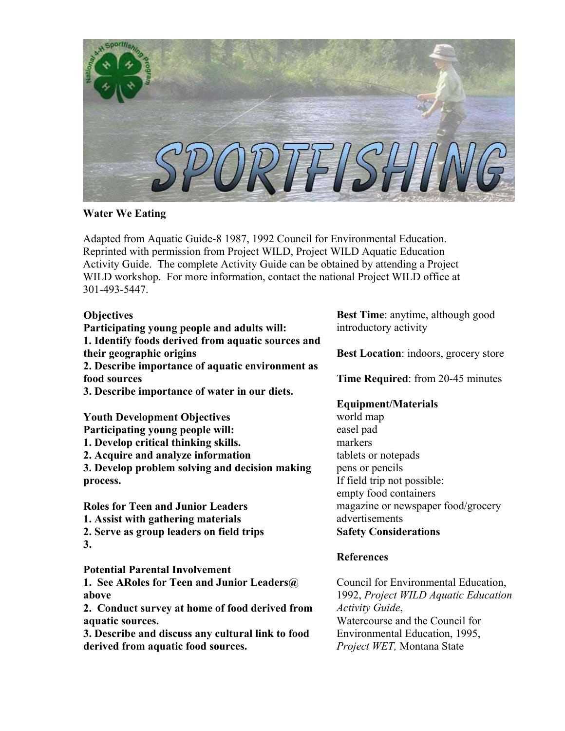

## **Water We Eating**

Adapted from Aquatic Guide-8 1987, 1992 Council for Environmental Education. Reprinted with permission from Project WILD, Project WILD Aquatic Education Activity Guide. The complete Activity Guide can be obtained by attending a Project WILD workshop. For more information, contact the national Project WILD office at 301-493-5447.

## **Objectives**

**Participating young people and adults will: 1. Identify foods derived from aquatic sources and their geographic origins 2. Describe importance of aquatic environment as food sources 3. Describe importance of water in our diets.** 

**Youth Development Objectives Participating young people will: 1. Develop critical thinking skills. 2. Acquire and analyze information 3. Develop problem solving and decision making process.** 

**Roles for Teen and Junior Leaders 1. Assist with gathering materials 2. Serve as group leaders on field trips** 

**3.** 

**Potential Parental Involvement** 

**1. See ARoles for Teen and Junior Leaders@ above** 

**2. Conduct survey at home of food derived from aquatic sources.** 

**3. Describe and discuss any cultural link to food derived from aquatic food sources.** 

**Best Time**: anytime, although good introductory activity

**Best Location**: indoors, grocery store

**Time Required**: from 20-45 minutes

# **Equipment/Materials**

world map easel pad markers tablets or notepads pens or pencils If field trip not possible: empty food containers magazine or newspaper food/grocery advertisements **Safety Considerations**

## **References**

Council for Environmental Education, 1992, *Project WILD Aquatic Education Activity Guide*, Watercourse and the Council for Environmental Education, 1995, *Project WET,* Montana State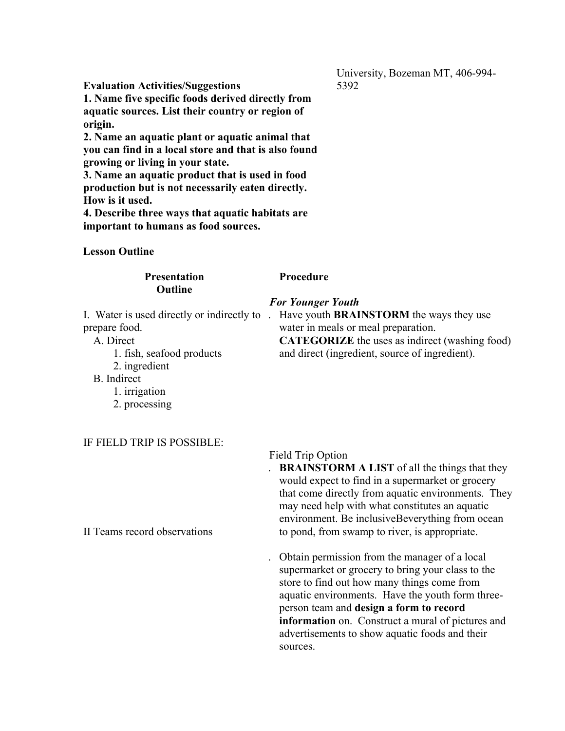University, Bozeman MT, 406-994- 5392

**Evaluation Activities/Suggestions** 

**1. Name five specific foods derived directly from aquatic sources. List their country or region of origin.** 

**2. Name an aquatic plant or aquatic animal that you can find in a local store and that is also found growing or living in your state.** 

**3. Name an aquatic product that is used in food production but is not necessarily eaten directly. How is it used.** 

**4. Describe three ways that aquatic habitats are important to humans as food sources.**

### **Lesson Outline**

### **Presentation Outline**

**Procedure**

prepare food.

A. Direct

- 1. fish, seafood products
- 2. ingredient

B. Indirect

1. irrigation

2. processing

IF FIELD TRIP IS POSSIBLE:

Field Trip Option

**BRAINSTORM A LIST** of all the things that they would expect to find in a supermarket or grocery that come directly from aquatic environments. They may need help with what constitutes an aquatic environment. Be inclusiveBeverything from ocean to pond, from swamp to river, is appropriate.

. Obtain permission from the manager of a local supermarket or grocery to bring your class to the store to find out how many things come from aquatic environments. Have the youth form threeperson team and **design a form to record information** on. Construct a mural of pictures and advertisements to show aquatic foods and their sources.

## II Teams record observations

# *For Younger Youth*

I. Water is used directly or indirectly to . Have youth **BRAINSTORM** the ways they use water in meals or meal preparation. **CATEGORIZE** the uses as indirect (washing food) and direct (ingredient, source of ingredient).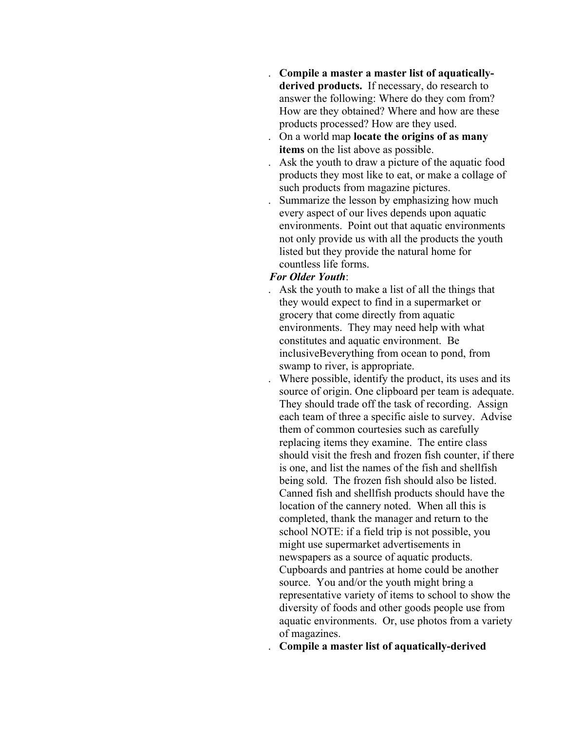- . **Compile a master a master list of aquaticallyderived products.** If necessary, do research to answer the following: Where do they com from? How are they obtained? Where and how are these products processed? How are they used.
- . On a world map **locate the origins of as many items** on the list above as possible.
- . Ask the youth to draw a picture of the aquatic food products they most like to eat, or make a collage of such products from magazine pictures.
- . Summarize the lesson by emphasizing how much every aspect of our lives depends upon aquatic environments. Point out that aquatic environments not only provide us with all the products the youth listed but they provide the natural home for countless life forms.

### *For Older Youth*:

- . Ask the youth to make a list of all the things that they would expect to find in a supermarket or grocery that come directly from aquatic environments. They may need help with what constitutes and aquatic environment. Be inclusiveBeverything from ocean to pond, from swamp to river, is appropriate.
- . Where possible, identify the product, its uses and its source of origin. One clipboard per team is adequate. They should trade off the task of recording. Assign each team of three a specific aisle to survey. Advise them of common courtesies such as carefully replacing items they examine. The entire class should visit the fresh and frozen fish counter, if there is one, and list the names of the fish and shellfish being sold. The frozen fish should also be listed. Canned fish and shellfish products should have the location of the cannery noted. When all this is completed, thank the manager and return to the school NOTE: if a field trip is not possible, you might use supermarket advertisements in newspapers as a source of aquatic products. Cupboards and pantries at home could be another source. You and/or the youth might bring a representative variety of items to school to show the diversity of foods and other goods people use from aquatic environments. Or, use photos from a variety of magazines.
- . **Compile a master list of aquatically-derived**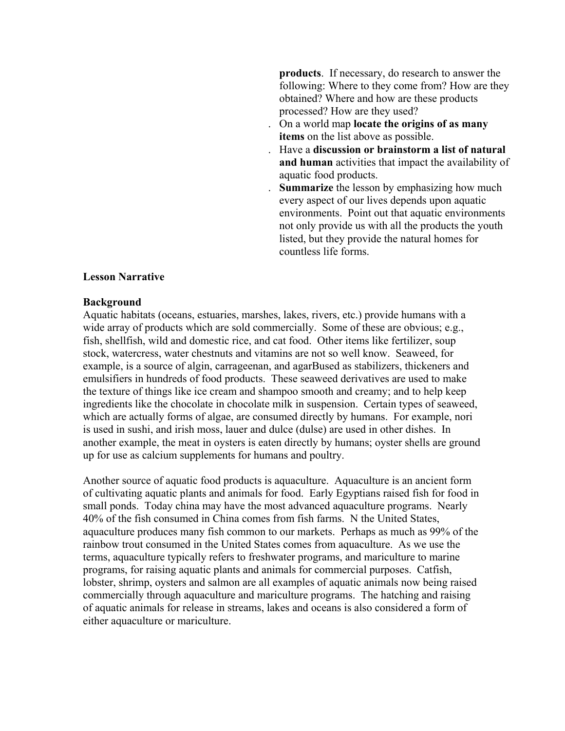**products**. If necessary, do research to answer the following: Where to they come from? How are they obtained? Where and how are these products processed? How are they used?

- . On a world map **locate the origins of as many items** on the list above as possible.
- . Have a **discussion or brainstorm a list of natural and human** activities that impact the availability of aquatic food products.
- . **Summarize** the lesson by emphasizing how much every aspect of our lives depends upon aquatic environments. Point out that aquatic environments not only provide us with all the products the youth listed, but they provide the natural homes for countless life forms.

### **Lesson Narrative**

### **Background**

Aquatic habitats (oceans, estuaries, marshes, lakes, rivers, etc.) provide humans with a wide array of products which are sold commercially. Some of these are obvious; e.g., fish, shellfish, wild and domestic rice, and cat food. Other items like fertilizer, soup stock, watercress, water chestnuts and vitamins are not so well know. Seaweed, for example, is a source of algin, carrageenan, and agarBused as stabilizers, thickeners and emulsifiers in hundreds of food products. These seaweed derivatives are used to make the texture of things like ice cream and shampoo smooth and creamy; and to help keep ingredients like the chocolate in chocolate milk in suspension. Certain types of seaweed, which are actually forms of algae, are consumed directly by humans. For example, nori is used in sushi, and irish moss, lauer and dulce (dulse) are used in other dishes. In another example, the meat in oysters is eaten directly by humans; oyster shells are ground up for use as calcium supplements for humans and poultry.

Another source of aquatic food products is aquaculture. Aquaculture is an ancient form of cultivating aquatic plants and animals for food. Early Egyptians raised fish for food in small ponds. Today china may have the most advanced aquaculture programs. Nearly 40% of the fish consumed in China comes from fish farms. N the United States, aquaculture produces many fish common to our markets. Perhaps as much as 99% of the rainbow trout consumed in the United States comes from aquaculture. As we use the terms, aquaculture typically refers to freshwater programs, and mariculture to marine programs, for raising aquatic plants and animals for commercial purposes. Catfish, lobster, shrimp, oysters and salmon are all examples of aquatic animals now being raised commercially through aquaculture and mariculture programs. The hatching and raising of aquatic animals for release in streams, lakes and oceans is also considered a form of either aquaculture or mariculture.